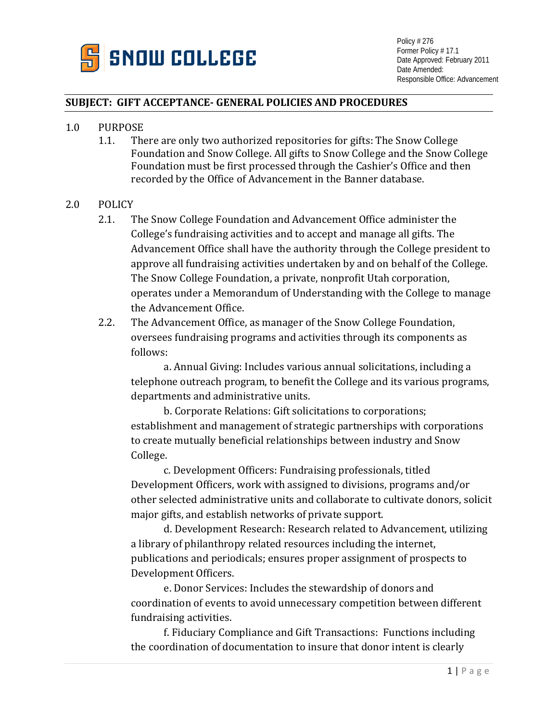

## **SUBJECT: GIFT ACCEPTANCE- GENERAL POLICIES AND PROCEDURES**

- 1.0 PURPOSE<br>1.1. The
	- There are only two authorized repositories for gifts: The Snow College Foundation and Snow College. All gifts to Snow College and the Snow College Foundation must be first processed through the Cashier's Office and then recorded by the Office of Advancement in the Banner database.

## 2.0 POLICY

- 2.1. The Snow College Foundation and Advancement Office administer the College's fundraising activities and to accept and manage all gifts. The Advancement Office shall have the authority through the College president to approve all fundraising activities undertaken by and on behalf of the College. The Snow College Foundation, a private, nonprofit Utah corporation, operates under a Memorandum of Understanding with the College to manage the Advancement Office.
- 2.2. The Advancement Office, as manager of the Snow College Foundation, oversees fundraising programs and activities through its components as follows:

a. Annual Giving: Includes various annual solicitations, including a telephone outreach program, to benefit the College and its various programs, departments and administrative units.

b. Corporate Relations: Gift solicitations to corporations; establishment and management of strategic partnerships with corporations to create mutually beneficial relationships between industry and Snow College.

c. Development Officers: Fundraising professionals, titled Development Officers, work with assigned to divisions, programs and/or other selected administrative units and collaborate to cultivate donors, solicit major gifts, and establish networks of private support.

d. Development Research: Research related to Advancement, utilizing a library of philanthropy related resources including the internet, publications and periodicals; ensures proper assignment of prospects to Development Officers.

e. Donor Services: Includes the stewardship of donors and coordination of events to avoid unnecessary competition between different fundraising activities.

f. Fiduciary Compliance and Gift Transactions: Functions including the coordination of documentation to insure that donor intent is clearly